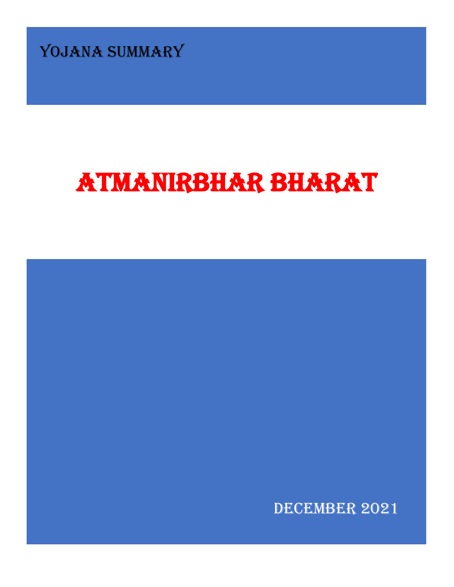YOJANA SUMMARY

# ATMANIRBHAR BHARAT

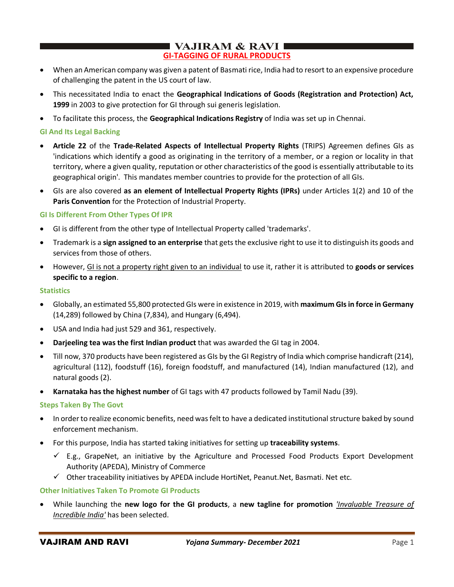# $\blacksquare$  VAJIRAM & RAVI  $\blacksquare$ **GI-TAGGING OF RURAL PRODUCTS**

- When an American company was given a patent of Basmati rice, India had to resort to an expensive procedure of challenging the patent in the US court of law.
- This necessitated India to enact the **Geographical Indications of Goods (Registration and Protection) Act, 1999** in 2003 to give protection for GI through sui generis legislation.
- To facilitate this process, the **Geographical Indications Registry** of India was set up in Chennai.

### **GI And Its Legal Backing**

- **Article 22** of the **Trade-Related Aspects of Intellectual Property Rights** (TRIPS) Agreemen defines GIs as 'indications which identify a good as originating in the territory of a member, or a region or locality in that territory, where a given quality, reputation or other characteristics of the good is essentially attributable to its geographical origin'. This mandates member countries to provide for the protection of all GIs.
- GIs are also covered **as an element of Intellectual Property Rights (IPRs)** under Articles 1(2) and 10 of the **Paris Convention** for the Protection of Industrial Property.

### **GI Is Different From Other Types Of IPR**

- GI is different from the other type of Intellectual Property called 'trademarks'.
- Trademark is a **sign assigned to an enterprise** that gets the exclusive right to use it to distinguish its goods and services from those of others.
- However, GI is not a property right given to an individual to use it, rather it is attributed to **goods or services specific to a region**.

### **Statistics**

- Globally, an estimated 55,800 protected GIs were in existence in 2019, with **maximum GIs in force in Germany** (14,289) followed by China (7,834), and Hungary (6,494).
- USA and India had just 529 and 361, respectively.
- **Darjeeling tea was the first Indian product** that was awarded the GI tag in 2004.
- Till now, 370 products have been registered as GIs by the GI Registry of India which comprise handicraft (214), agricultural (112), foodstuff (16), foreign foodstuff, and manufactured (14), Indian manufactured (12), and natural goods (2).
- **Karnataka has the highest number** of GI tags with 47 products followed by Tamil Nadu (39).

### **Steps Taken By The Govt**

- In order to realize economic benefits, need was felt to have a dedicated institutional structure baked by sound enforcement mechanism.
- For this purpose, India has started taking initiatives for setting up **traceability systems**.
	- $\checkmark$  E.g., GrapeNet, an initiative by the Agriculture and Processed Food Products Export Development Authority (APEDA), Ministry of Commerce
	- $\checkmark$  Other traceability initiatives by APEDA include HortiNet, Peanut.Net, Basmati. Net etc.

### **Other Initiatives Taken To Promote GI Products**

• While launching the **new logo for the GI products**, a **new tagline for promotion** *'Invaluable Treasure of Incredible India'* has been selected.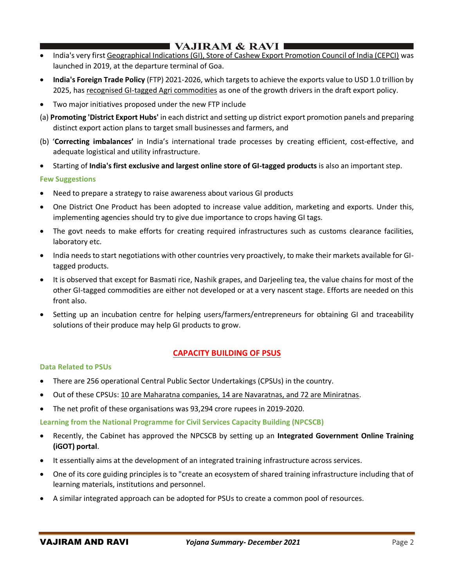# $\blacksquare$  VAJIRAM & RAVI I

- India's very first Geographical Indications (GI), Store of Cashew Export Promotion Council of India (CEPCI) was launched in 2019, at the departure terminal of Goa.
- **India's Foreign Trade Policy** (FTP) 2021-2026, which targets to achieve the exports value to USD 1.0 trillion by 2025, has recognised GI-tagged Agri commodities as one of the growth drivers in the draft export policy.
- Two major initiatives proposed under the new FTP include
- (a) **Promoting 'District Export Hubs'** in each district and setting up district export promotion panels and preparing distinct export action plans to target small businesses and farmers, and
- (b) '**Correcting imbalances'** in India's international trade processes by creating efficient, cost-effective, and adequate logistical and utility infrastructure.
- Starting of **India's first exclusive and largest online store of GI-tagged products** is also an important step.

# **Few Suggestions**

- Need to prepare a strategy to raise awareness about various GI products
- One District One Product has been adopted to increase value addition, marketing and exports. Under this, implementing agencies should try to give due importance to crops having GI tags.
- The govt needs to make efforts for creating required infrastructures such as customs clearance facilities, laboratory etc.
- India needs to start negotiations with other countries very proactively, to make their markets available for GItagged products.
- It is observed that except for Basmati rice, Nashik grapes, and Darjeeling tea, the value chains for most of the other GI-tagged commodities are either not developed or at a very nascent stage. Efforts are needed on this front also.
- Setting up an incubation centre for helping users/farmers/entrepreneurs for obtaining GI and traceability solutions of their produce may help GI products to grow.

# **CAPACITY BUILDING OF PSUS**

### **Data Related to PSUs**

- There are 256 operational Central Public Sector Undertakings (CPSUs) in the country.
- Out of these CPSUs: 10 are Maharatna companies, 14 are Navaratnas, and 72 are Miniratnas.
- The net profit of these organisations was 93,294 crore rupees in 2019-2020.

**Learning from the National Programme for Civil Services Capacity Building (NPCSCB)**

- Recently, the Cabinet has approved the NPCSCB by setting up an **Integrated Government Online Training (iGOT) portal**.
- It essentially aims at the development of an integrated training infrastructure across services.
- One of its core guiding principles is to "create an ecosystem of shared training infrastructure including that of learning materials, institutions and personnel.
- A similar integrated approach can be adopted for PSUs to create a common pool of resources.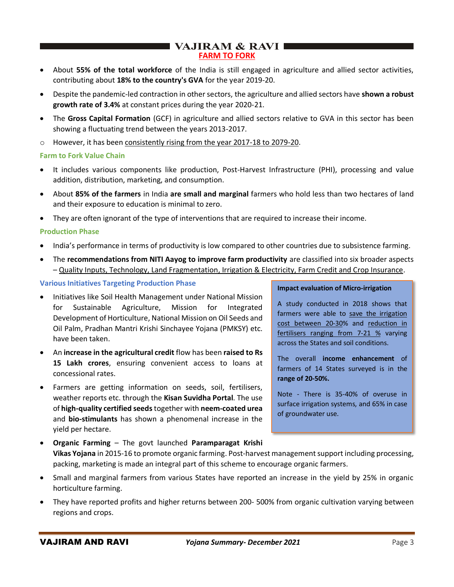# $\blacksquare$  VAJIRAM & RAVI $\blacksquare$ **FARM TO FORK**

- About **55% of the total workforce** of the India is still engaged in agriculture and allied sector activities, contributing about **18% to the country's GVA** for the year 2019-20.
- Despite the pandemic-led contraction in other sectors, the agriculture and allied sectors have **shown a robust growth rate of 3.4%** at constant prices during the year 2020-21.
- The **Gross Capital Formation** (GCF) in agriculture and allied sectors relative to GVA in this sector has been showing a fluctuating trend between the years 2013-2017.
- o However, it has been consistently rising from the year 2017-18 to 2079-20.

### **Farm to Fork Value Chain**

- It includes various components like production, Post-Harvest Infrastructure (PHI), processing and value addition, distribution, marketing, and consumption.
- About **85% of the farmers** in India **are small and marginal** farmers who hold less than two hectares of land and their exposure to education is minimal to zero.
- They are often ignorant of the type of interventions that are required to increase their income.

### **Production Phase**

- India's performance in terms of productivity is low compared to other countries due to subsistence farming.
- The **recommendations from NITI Aayog to improve farm productivity** are classified into six broader aspects – Quality Inputs, Technology, Land Fragmentation, Irrigation & Electricity, Farm Credit and Crop Insurance.

### **Various Initiatives Targeting Production Phase**

- Initiatives like Soil Health Management under National Mission for Sustainable Agriculture, Mission for Integrated Development of Horticulture, National Mission on Oil Seeds and Oil Palm, Pradhan Mantri Krishi Sinchayee Yojana (PMKSY) etc. have been taken.
- An **increase in the agricultural credit** flow has been **raised to Rs 15 Lakh crores**, ensuring convenient access to loans at concessional rates.
- Farmers are getting information on seeds, soil, fertilisers, weather reports etc. through the **Kisan Suvidha Portal**. The use of **high-quality certified seeds**together with **neem-coated urea** and **bio-stimulants** has shown a phenomenal increase in the yield per hectare.

#### **Impact evaluation of Micro-irrigation**

A study conducted in 2018 shows that farmers were able to save the irrigation cost between 20-30% and reduction in fertilisers ranging from 7-21 % varying across the States and soil conditions.

The overall **income enhancement** of farmers of 14 States surveyed is in the **range of 20-50%.**

Note - There is 35-40% of overuse in surface irrigation systems, and 65% in case of groundwater use.

- **Organic Farming** The govt launched **Paramparagat Krishi Vikas Yojana** in 2015-16 to promote organic farming. Post-harvest management support including processing, packing, marketing is made an integral part of this scheme to encourage organic farmers.
- Small and marginal farmers from various States have reported an increase in the yield by 25% in organic horticulture farming.
- They have reported profits and higher returns between 200- 500% from organic cultivation varying between regions and crops.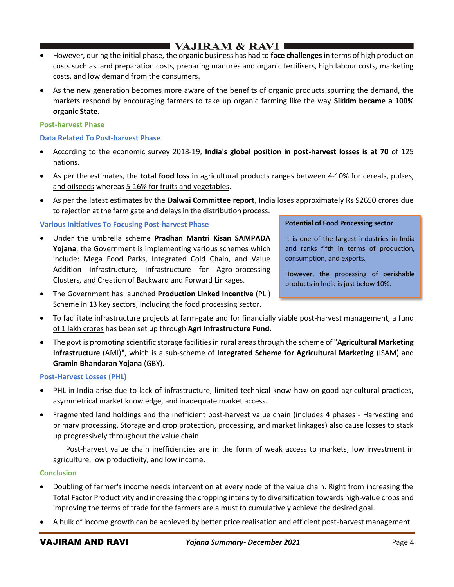# ■ VAJIRAM & RAVI I

- However, during the initial phase, the organic business has had to **face challenges** in terms of high production costs such as land preparation costs, preparing manures and organic fertilisers, high labour costs, marketing costs, and low demand from the consumers.
- As the new generation becomes more aware of the benefits of organic products spurring the demand, the markets respond by encouraging farmers to take up organic farming like the way **Sikkim became a 100% organic State**.

## **Post-harvest Phase**

## **Data Related To Post-harvest Phase**

- According to the economic survey 2018-19, **India's global position in post-harvest losses is at 70** of 125 nations.
- As per the estimates, the **total food loss** in agricultural products ranges between 4-10% for cereals, pulses, and oilseeds whereas 5-16% for fruits and vegetables.
- As per the latest estimates by the **Dalwai Committee report**, India loses approximately Rs 92650 crores due to rejection at the farm gate and delays in the distribution process.

# **Various Initiatives To Focusing Post-harvest Phase**

- Under the umbrella scheme **Pradhan Mantri Kisan SAMPADA Yojana**, the Government is implementing various schemes which include: Mega Food Parks, Integrated Cold Chain, and Value Addition Infrastructure, Infrastructure for Agro-processing Clusters, and Creation of Backward and Forward Linkages.
- The Government has launched **Production Linked Incentive** (PLI) Scheme in 13 key sectors, including the food processing sector.

# **Potential of Food Processing sector**

It is one of the largest industries in India and ranks fifth in terms of production, consumption, and exports.

However, the processing of perishable products in India is just below 10%.

- To facilitate infrastructure projects at farm-gate and for financially viable post-harvest management, a fund of 1 lakh crores has been set up through **Agri Infrastructure Fund**.
- The govt is promoting scientific storage facilities in rural areas through the scheme of "**Agricultural Marketing Infrastructure** (AMI)", which is a sub-scheme of **Integrated Scheme for Agricultural Marketing** (ISAM) and **Gramin Bhandaran Yojana** (GBY).

# **Post-Harvest Losses (PHL)**

- PHL in India arise due to lack of infrastructure, limited technical know-how on good agricultural practices, asymmetrical market knowledge, and inadequate market access.
- Fragmented land holdings and the inefficient post-harvest value chain (includes 4 phases Harvesting and primary processing, Storage and crop protection, processing, and market linkages) also cause losses to stack up progressively throughout the value chain.

 Post-harvest value chain inefficiencies are in the form of weak access to markets, low investment in agriculture, low productivity, and low income.

# **Conclusion**

- Doubling of farmer's income needs intervention at every node of the value chain. Right from increasing the Total Factor Productivity and increasing the cropping intensity to diversification towards high-value crops and improving the terms of trade for the farmers are a must to cumulatively achieve the desired goal.
- A bulk of income growth can be achieved by better price realisation and efficient post-harvest management.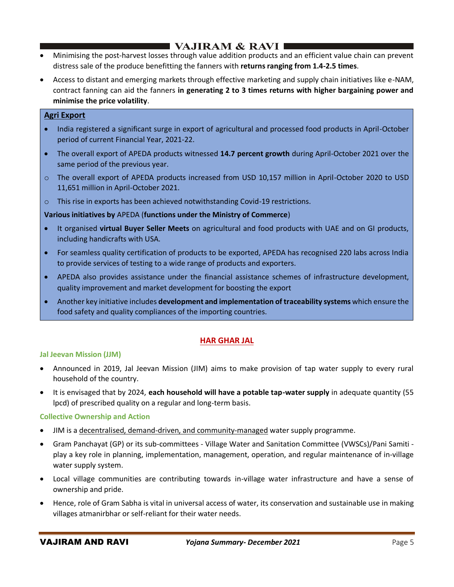# I VAJIRAM & RAVI I

- Minimising the post-harvest losses through value addition products and an efficient value chain can prevent distress sale of the produce benefitting the fanners with **returns ranging from 1.4-2.5 times**.
- Access to distant and emerging markets through effective marketing and supply chain initiatives like e-NAM, contract fanning can aid the fanners **in generating 2 to 3 times returns with higher bargaining power and minimise the price volatility**.

# **Agri Export**

- India registered a significant surge in export of agricultural and processed food products in April-October period of current Financial Year, 2021-22.
- The overall export of APEDA products witnessed **14.7 percent growth** during April-October 2021 over the same period of the previous year.
- o The overall export of APEDA products increased from USD 10,157 million in April-October 2020 to USD 11,651 million in April-October 2021.
- $\circ$  This rise in exports has been achieved notwithstanding Covid-19 restrictions.

### **Various initiatives by** APEDA (**functions under the Ministry of Commerce**)

- It organised **virtual Buyer Seller Meets** on agricultural and food products with UAE and on GI products, including handicrafts with USA.
- For seamless quality certification of products to be exported, APEDA has recognised 220 labs across India to provide services of testing to a wide range of products and exporters.
- APEDA also provides assistance under the financial assistance schemes of infrastructure development, quality improvement and market development for boosting the export
- Another key initiative includes **development and implementation of traceability systems** which ensure the food safety and quality compliances of the importing countries.

# **HAR GHAR JAL**

### **Jal Jeevan Mission (JJM)**

- Announced in 2019, Jal Jeevan Mission (JIM) aims to make provision of tap water supply to every rural household of the country.
- It is envisaged that by 2024, **each household will have a potable tap-water supply** in adequate quantity (55 lpcd) of prescribed quality on a regular and long-term basis.

### **Collective Ownership and Action**

- JIM is a decentralised, demand-driven, and community-managed water supply programme.
- Gram Panchayat (GP) or its sub-committees Village Water and Sanitation Committee (VWSCs)/Pani Samiti play a key role in planning, implementation, management, operation, and regular maintenance of in-village water supply system.
- Local village communities are contributing towards in-village water infrastructure and have a sense of ownership and pride.
- Hence, role of Gram Sabha is vital in universal access of water, its conservation and sustainable use in making villages atmanirbhar or self-reliant for their water needs.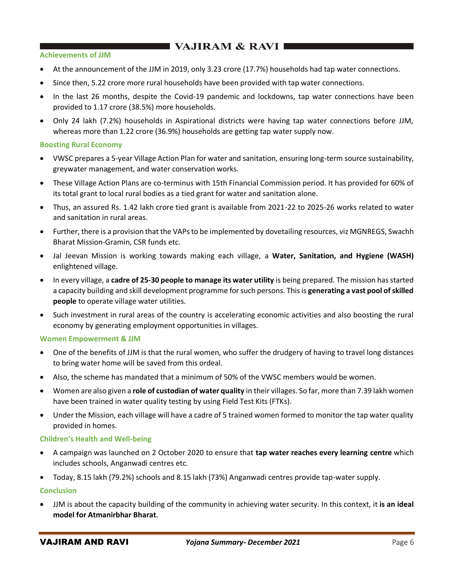# $\blacksquare$  VAJIRAM & RAVI $\blacksquare$

### **Achievements of JJM**

- At the announcement of the JJM in 2019, only 3.23 crore (17.7%) households had tap water connections.
- Since then, 5.22 crore more rural households have been provided with tap water connections.
- In the last 26 months, despite the Covid-19 pandemic and lockdowns, tap water connections have been provided to 1.17 crore (38.5%) more households.
- Only 24 lakh (7.2%) households in Aspirational districts were having tap water connections before JJM, whereas more than 1.22 crore (36.9%) households are getting tap water supply now.

### **Boosting Rural Economy**

- VWSC prepares a 5-year Village Action Plan for water and sanitation, ensuring long-term source sustainability, greywater management, and water conservation works.
- These Village Action Plans are co-terminus with 15th Financial Commission period. It has provided for 60% of its total grant to local rural bodies as a tied grant for water and sanitation alone.
- Thus, an assured Rs. 1.42 lakh crore tied grant is available from 2021-22 to 2025-26 works related to water and sanitation in rural areas.
- Further, there is a provision that the VAPs to be implemented by dovetailing resources, viz MGNREGS, Swachh Bharat Mission-Gramin, CSR funds etc.
- Jal Jeevan Mission is working towards making each village, a **Water, Sanitation, and Hygiene (WASH)** enlightened village.
- In every village, a **cadre of 25-30 people to manage its water utility** is being prepared. The mission has started a capacity building and skill development programme for such persons. This is **generating a vast pool of skilled people** to operate village water utilities.
- Such investment in rural areas of the country is accelerating economic activities and also boosting the rural economy by generating employment opportunities in villages.

### **Women Empowerment & JJM**

- One of the benefits of JJM is that the rural women, who suffer the drudgery of having to travel long distances to bring water home will be saved from this ordeal.
- Also, the scheme has mandated that a minimum of 50% of the VWSC members would be women.
- Women are also given a **role of custodian of water quality** in their villages. So far, more than 7.39 lakh women have been trained in water quality testing by using Field Test Kits (FTKs).
- Under the Mission, each village will have a cadre of 5 trained women formed to monitor the tap water quality provided in homes.

### **Children's Health and Well-being**

- A campaign was launched on 2 October 2020 to ensure that **tap water reaches every learning centre** which includes schools, Anganwadi centres etc.
- Today, 8.15 lakh (79.2%) schools and 8.15 lakh (73%) Anganwadi centres provide tap-water supply.

### **Conclusion**

• JJM is about the capacity building of the community in achieving water security. In this context, it **is an ideal model for Atmanirbhar Bharat**.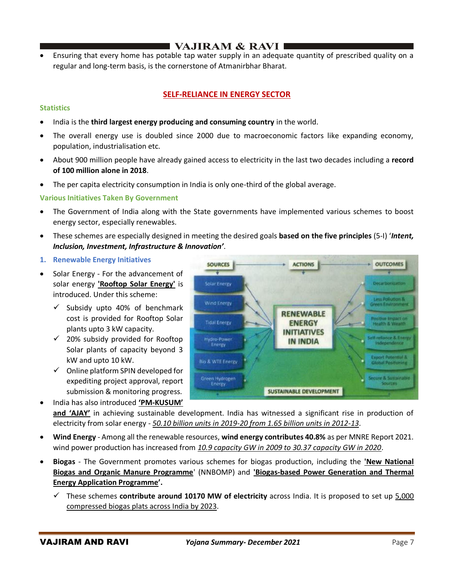# ■ VAJIRAM & RAVI |

• Ensuring that every home has potable tap water supply in an adequate quantity of prescribed quality on a regular and long-term basis, is the cornerstone of Atmanirbhar Bharat.

# **SELF-RELIANCE IN ENERGY SECTOR**

## **Statistics**

- India is the **third largest energy producing and consuming country** in the world.
- The overall energy use is doubled since 2000 due to macroeconomic factors like expanding economy, population, industrialisation etc.
- About 900 million people have already gained access to electricity in the last two decades including a **record of 100 million alone in 2018**.
- The per capita electricity consumption in India is only one-third of the global average.

### **Various Initiatives Taken By Government**

- The Government of India along with the State governments have implemented various schemes to boost energy sector, especially renewables.
- These schemes are especially designed in meeting the desired goals **based on the five principles** (5-I) '*Intent, Inclusion, Investment, Infrastructure & Innovation'*.
- **1. Renewable Energy Initiatives**
- Solar Energy For the advancement of solar energy **'Rooftop Solar Energy'** is introduced. Under this scheme:
	- $\checkmark$  Subsidy upto 40% of benchmark cost is provided for Rooftop Solar plants upto 3 kW capacity.
	- $\checkmark$  20% subsidy provided for Rooftop Solar plants of capacity beyond 3 kW and upto 10 kW.
	- $\checkmark$  Online platform SPIN developed for expediting project approval, report submission & monitoring progress.
- India has also introduced **'PM-KUSUM'**



- **and 'AJAY'** in achieving sustainable development. India has witnessed a significant rise in production of electricity from solar energy - *50.10 billion units in 2019-20 from 1.65 billion units in 2012-13*.
- **Wind Energy** Among all the renewable resources, **wind energy contributes 40.8%** as per MNRE Report 2021. wind power production has increased from *10.9 capacity GW in 2009 to 30.37 capacity GW in 2020*.
- **Biogas** The Government promotes various schemes for biogas production, including the **'New National Biogas and Organic Manure Programme**' (NNBOMP) and **'Biogas-based Power Generation and Thermal Energy Application Programme'.**
	- ✓ These schemes **contribute around 10170 MW of electricity** across India. It is proposed to set up 5,000 compressed biogas plats across India by 2023.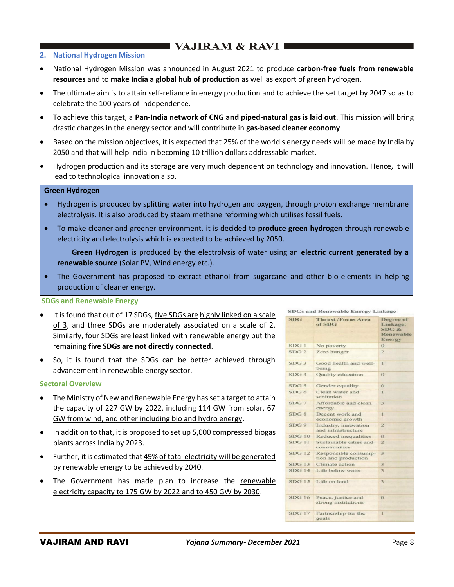# $\blacksquare$  VAJIRAM & RAVI  $\blacksquare$

### **2. National Hydrogen Mission**

- National Hydrogen Mission was announced in August 2021 to produce **carbon-free fuels from renewable resources** and to **make India a global hub of production** as well as export of green hydrogen.
- The ultimate aim is to attain self-reliance in energy production and to achieve the set target by 2047 so as to celebrate the 100 years of independence.
- To achieve this target, a **Pan-India network of CNG and piped-natural gas is laid out**. This mission will bring drastic changes in the energy sector and will contribute in **gas-based cleaner economy**.
- Based on the mission objectives, it is expected that 25% of the world's energy needs will be made by India by 2050 and that will help India in becoming 10 trillion dollars addressable market.
- Hydrogen production and its storage are very much dependent on technology and innovation. Hence, it will lead to technological innovation also.

#### **Green Hydrogen**

- Hydrogen is produced by splitting water into hydrogen and oxygen, through proton exchange membrane electrolysis. It is also produced by steam methane reforming which utilises fossil fuels.
- To make cleaner and greener environment, it is decided to **produce green hydrogen** through renewable electricity and electrolysis which is expected to be achieved by 2050.

 **Green Hydrogen** is produced by the electrolysis of water using an **electric current generated by a renewable source** (Solar PV, Wind energy etc.).

• The Government has proposed to extract ethanol from sugarcane and other bio-elements in helping production of cleaner energy.

#### **SDGs and Renewable Energy**

- It is found that out of 17 SDGs, five SDGs are highly linked on a scale of 3, and three SDGs are moderately associated on a scale of 2. Similarly, four SDGs are least linked with renewable energy but the remaining **five SDGs are not directly connected**.
- So, it is found that the SDGs can be better achieved through advancement in renewable energy sector.

#### **Sectoral Overview**

- The Ministry of New and Renewable Energy has set a target to attain the capacity of 227 GW by 2022, including 114 GW from solar, 67 GW from wind, and other including bio and hydro energy.
- In addition to that, it is proposed to set up 5,000 compressed biogas plants across India by 2023.
- Further, it is estimated that 49% of total electricity will be generated by renewable energy to be achieved by 2040.
- The Government has made plan to increase the renewable electricity capacity to 175 GW by 2022 and to 450 GW by 2030.

**SDGs and Renewable Energy Linkage** 

| <b>SDG</b>       | <b>Thrust /Focus Area</b><br>of SDG         | Degree of<br>Linkage:<br>SDG &<br>Renewable<br>Energy |
|------------------|---------------------------------------------|-------------------------------------------------------|
| SDG1             | No poverty                                  | $\Omega$                                              |
| SDG <sub>2</sub> | Zero hunger                                 | $\overline{2}$                                        |
| SDG <sub>3</sub> | Good health and well-<br>being              | Ŧ                                                     |
| SDG4             | Quality education                           | $\Omega$                                              |
| SDG <sub>5</sub> | Gender equality                             | $\Omega$                                              |
| SDG6             | Clean water and<br>sanitation               | 1                                                     |
| SDG 7            | Affordable and clean<br>energy              | $\overline{\mathbf{3}}$                               |
| SDG 8            | Decent work and<br>economic growth          | 1                                                     |
| SDG9             | Industry, innovation<br>and infrastructure  | $\overline{2}$                                        |
| <b>SDG 10</b>    | Reduced inequalities                        | $\odot$                                               |
| SDG 11           | Sustainable cities and<br>communities       | $\overline{2}$                                        |
| <b>SDG 12</b>    | Responsible consump-<br>tion and production | 3                                                     |
| <b>SDG 13</b>    | Climate action                              | 3                                                     |
| <b>SDG 14</b>    | Life below water                            | $\overline{3}$                                        |
| <b>SDG 15</b>    | Life on land                                | 3                                                     |
| <b>SDG 16</b>    | Peace, justice and<br>strong institutions   | $\Omega$                                              |
| <b>SDG17</b>     | Partnership for the<br>goals                | 1                                                     |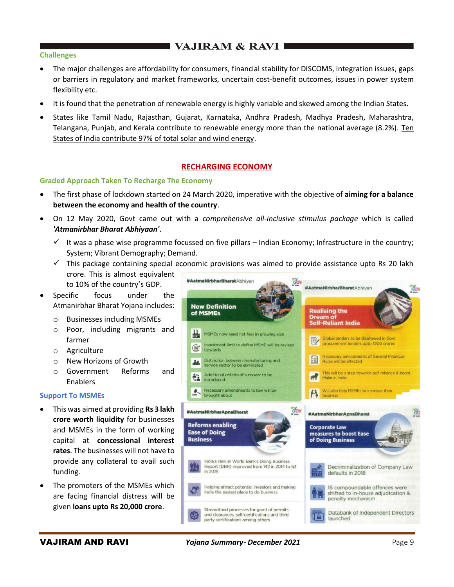# **THE VAJIRAM & RAVI E**

### **Challenges**

- The major challenges are affordability for consumers, financial stability for DISCOMS, integration issues, gaps or barriers in regulatory and market frameworks, uncertain cost-benefit outcomes, issues in power system flexibility etc.
- It is found that the penetration of renewable energy is highly variable and skewed among the Indian States.
- States like Tamil Nadu, Rajasthan, Gujarat, Karnataka, Andhra Pradesh, Madhya Pradesh, Maharashtra, Telangana, Punjab, and Kerala contribute to renewable energy more than the national average (8.2%). Ten States of India contribute 97% of total solar and wind energy.

# **RECHARGING ECONOMY**

### **Graded Approach Taken To Recharge The Economy**

- The first phase of lockdown started on 24 March 2020, imperative with the objective of **aiming for a balance between the economy and health of the country**.
- On 12 May 2020, Govt came out with a *comprehensive all-inclusive stimulus package* which is called *'Atmanirbhar Bharat Abhiyaan'*.
	- $\checkmark$  It was a phase wise programme focussed on five pillars Indian Economy; Infrastructure in the country; System; Vibrant Demography; Demand.
	- $\checkmark$  This package containing special economic provisions was aimed to provide assistance upto Rs 20 lakh
	- crore. This is almost equivalent to 10% of the country's GDP.
- Specific focus under the Atmanirbhar Bharat Yojana includes:
	- o Businesses including MSMEs
	- o Poor, including migrants and farmer
	- o Agriculture
	- o New Horizons of Growth
	- o Government Reforms and Enablers

### **Support To MSMEs**

- This was aimed at providing **Rs 3 lakh crore worth liquidity** for businesses and MSMEs in the form of working capital at **concessional interest rates**. The businesses will not have to provide any collateral to avail such funding.
- The promoters of the MSMEs which are facing financial distress will be given **loans upto Rs 20,000 crore**.

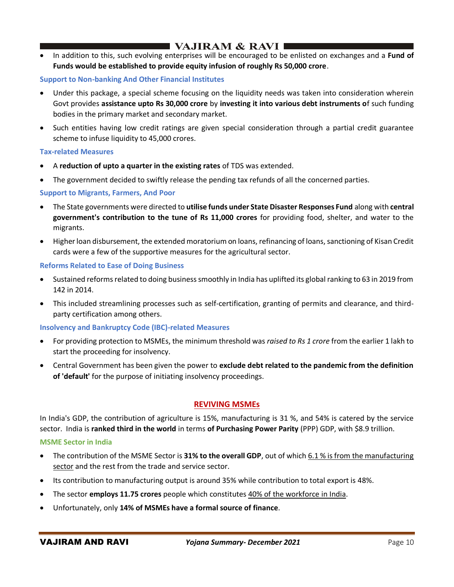# $\blacksquare$  VAJIRAM & RAVI  $\blacksquare$

• In addition to this, such evolving enterprises will be encouraged to be enlisted on exchanges and a **Fund of Funds would be established to provide equity infusion of roughly Rs 50,000 crore**.

## **Support to Non-banking And Other Financial Institutes**

- Under this package, a special scheme focusing on the liquidity needs was taken into consideration wherein Govt provides **assistance upto Rs 30,000 crore** by **investing it into various debt instruments o**f such funding bodies in the primary market and secondary market.
- Such entities having low credit ratings are given special consideration through a partial credit guarantee scheme to infuse liquidity to 45,000 crores.

#### **Tax-related Measures**

- A **reduction of upto a quarter in the existing rates** of TDS was extended.
- The government decided to swiftly release the pending tax refunds of all the concerned parties.

### **Support to Migrants, Farmers, And Poor**

- The State governments were directed to **utilise funds under State Disaster Responses Fund** along with **central government's contribution to the tune of Rs 11,000 crores** for providing food, shelter, and water to the migrants.
- Higher loan disbursement, the extended moratorium on loans, refinancing of loans, sanctioning of Kisan Credit cards were a few of the supportive measures for the agricultural sector.

### **Reforms Related to Ease of Doing Business**

- Sustained reforms related to doing business smoothly in India has uplifted its global ranking to 63 in 2019 from 142 in 2014.
- This included streamlining processes such as self-certification, granting of permits and clearance, and thirdparty certification among others.

### **Insolvency and Bankruptcy Code (IBC)-related Measures**

- For providing protection to MSMEs, the minimum threshold was *raised to Rs 1 crore* from the earlier 1 lakh to start the proceeding for insolvency.
- Central Government has been given the power to **exclude debt related to the pandemic from the definition of 'default'** for the purpose of initiating insolvency proceedings.

### **REVIVING MSMEs**

In India's GDP, the contribution of agriculture is 15%, manufacturing is 31 %, and 54% is catered by the service sector. India is **ranked third in the world** in terms **of Purchasing Power Parity** (PPP) GDP, with \$8.9 trillion.

### **MSME Sector in India**

- The contribution of the MSME Sector is **31% to the overall GDP**, out of which 6.1 % is from the manufacturing sector and the rest from the trade and service sector.
- Its contribution to manufacturing output is around 35% while contribution to total export is 48%.
- The sector **employs 11.75 crores** people which constitutes 40% of the workforce in India.
- Unfortunately, only **14% of MSMEs have a formal source of finance**.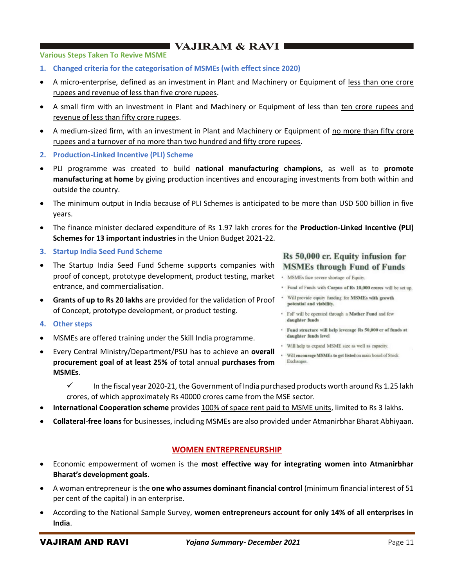# I VAJIRAM & RAVI I

#### **Various Steps Taken To Revive MSME**

- **1. Changed criteria for the categorisation of MSMEs (with effect since 2020)**
- A micro-enterprise, defined as an investment in Plant and Machinery or Equipment of less than one crore rupees and revenue of less than five crore rupees.
- A small firm with an investment in Plant and Machinery or Equipment of less than ten crore rupees and revenue of less than fifty crore rupees.
- A medium-sized firm, with an investment in Plant and Machinery or Equipment of no more than fifty crore rupees and a turnover of no more than two hundred and fifty crore rupees.
- **2. Production-Linked Incentive (PLI) Scheme**
- PLI programme was created to build **national manufacturing champions**, as well as to **promote manufacturing at home** by giving production incentives and encouraging investments from both within and outside the country.
- The minimum output in India because of PLI Schemes is anticipated to be more than USD 500 billion in five years.
- The finance minister declared expenditure of Rs 1.97 lakh crores for the **Production-Linked Incentive (PLI) Schemes for 13 important industries** in the Union Budget 2021-22.
- **3. Startup India Seed Fund Scheme**
- The Startup India Seed Fund Scheme supports companies with proof of concept, prototype development, product testing, market · MSMEs face severe shortage of Equity. entrance, and commercialisation.
- **• Grants of up to Rs 20 lakhs** are provided for the validation of Proof **FOLL Will provide equity funding for MSMEs with growth** of Concept, prototype development, or product testing.

# **4. Other steps**

- MSMEs are offered training under the Skill India programme.
- Every Central Ministry/Department/PSU has to achieve an **overall procurement goal of at least 25%** of total annual **purchases from MSMEs**.

## Rs 50,000 cr. Equity infusion for **MSMEs through Fund of Funds**

- 
- · Fund of Funds with Corpus of Rs 10,000 crores will be set up.
- 
- FoF will be operated through a Mother Fund and few daughter funds
- Fund structure will help leverage Rs 50,000 cr of funds at daughter funds level
- Will help to expand MSME size as well as capacity.
- Will encourage MSMEs to get listed on main board of Stock Exchanges.
- $\checkmark$  In the fiscal year 2020-21, the Government of India purchased products worth around Rs 1.25 lakh crores, of which approximately Rs 40000 crores came from the MSE sector.
- **International Cooperation scheme** provides 100% of space rent paid to MSME units, limited to Rs 3 lakhs.
- **Collateral-free loans**for businesses, including MSMEs are also provided under Atmanirbhar Bharat Abhiyaan.

# **WOMEN ENTREPRENEURSHIP**

- Economic empowerment of women is the **most effective way for integrating women into Atmanirbhar Bharat's development goals**.
- A woman entrepreneur is the **one who assumes dominant financial control** (minimum financial interest of 51 per cent of the capital) in an enterprise.
- According to the National Sample Survey, **women entrepreneurs account for only 14% of all enterprises in India**.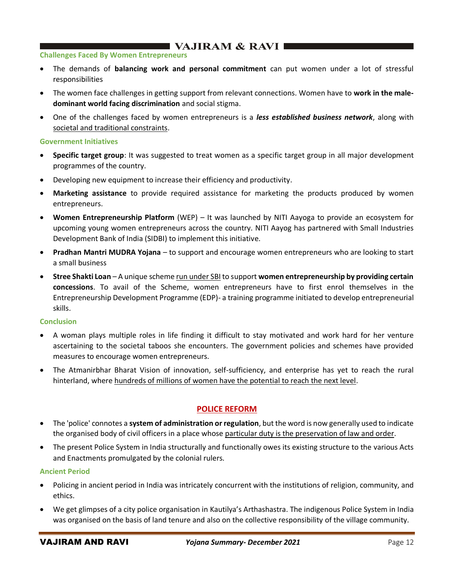# $\blacksquare$  VAJIRAM & RAVI $\blacksquare$

#### **Challenges Faced By Women Entrepreneurs**

- The demands of **balancing work and personal commitment** can put women under a lot of stressful responsibilities
- The women face challenges in getting support from relevant connections. Women have to **work in the maledominant world facing discrimination** and social stigma.
- One of the challenges faced by women entrepreneurs is a *less established business network*, along with societal and traditional constraints.

#### **Government Initiatives**

- **Specific target group**: It was suggested to treat women as a specific target group in all major development programmes of the country.
- Developing new equipment to increase their efficiency and productivity.
- **Marketing assistance** to provide required assistance for marketing the products produced by women entrepreneurs.
- **Women Entrepreneurship Platform** (WEP) It was launched by NITI Aayoga to provide an ecosystem for upcoming young women entrepreneurs across the country. NITI Aayog has partnered with Small Industries Development Bank of India (SIDBI) to implement this initiative.
- **Pradhan Mantri MUDRA Yojana** to support and encourage women entrepreneurs who are looking to start a small business
- **Stree Shakti Loan** A unique scheme run under SBI to support **women entrepreneurship by providing certain concessions**. To avail of the Scheme, women entrepreneurs have to first enrol themselves in the Entrepreneurship Development Programme (EDP)- a training programme initiated to develop entrepreneurial skills.

#### **Conclusion**

- A woman plays multiple roles in life finding it difficult to stay motivated and work hard for her venture ascertaining to the societal taboos she encounters. The government policies and schemes have provided measures to encourage women entrepreneurs.
- The Atmanirbhar Bharat Vision of innovation, self-sufficiency, and enterprise has yet to reach the rural hinterland, where hundreds of millions of women have the potential to reach the next level.

# **POLICE REFORM**

- The 'police' connotes a **system of administration or regulation**, but the word is now generally used to indicate the organised body of civil officers in a place whose particular duty is the preservation of law and order.
- The present Police System in India structurally and functionally owes its existing structure to the various Acts and Enactments promulgated by the colonial rulers.

### **Ancient Period**

- Policing in ancient period in India was intricately concurrent with the institutions of religion, community, and ethics.
- We get glimpses of a city police organisation in Kautilya's Arthashastra. The indigenous Police System in India was organised on the basis of land tenure and also on the collective responsibility of the village community.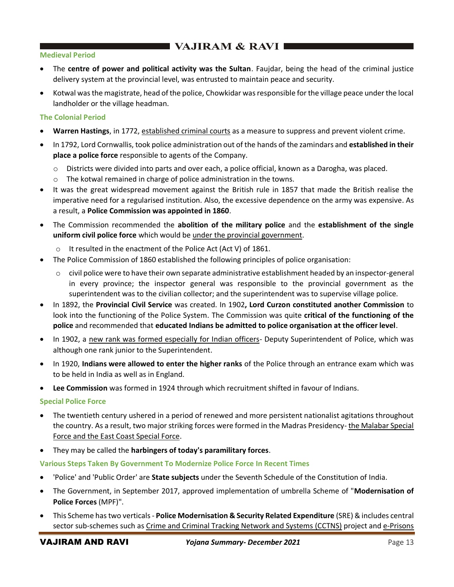# **EXAMPLE VAJIRAM & RAVI**

### **Medieval Period**

- The **centre of power and political activity was the Sultan**. Faujdar, being the head of the criminal justice delivery system at the provincial level, was entrusted to maintain peace and security.
- Kotwal was the magistrate, head of the police, Chowkidar was responsible for the village peace under the local landholder or the village headman.

### **The Colonial Period**

- **Warren Hastings**, in 1772, established criminal courts as a measure to suppress and prevent violent crime.
- In 1792, Lord Cornwallis, took police administration out of the hands of the zamindars and **established in their place a police force** responsible to agents of the Company.
	- $\circ$  Districts were divided into parts and over each, a police official, known as a Darogha, was placed.
	- o The kotwal remained in charge of police administration in the towns.
- It was the great widespread movement against the British rule in 1857 that made the British realise the imperative need for a regularised institution. Also, the excessive dependence on the army was expensive. As a result, a **Police Commission was appointed in 1860**.
- The Commission recommended the **abolition of the military police** and the **establishment of the single uniform civil police force** which would be under the provincial government.
	- o It resulted in the enactment of the Police Act (Act V) of 1861.
- The Police Commission of 1860 established the following principles of police organisation:
	- o civil police were to have their own separate administrative establishment headed by an inspector-general in every province; the inspector general was responsible to the provincial government as the superintendent was to the civilian collector; and the superintendent was to supervise village police.
- In 1892, the **Provincial Civil Service** was created. In 1902**, Lord Curzon constituted another Commission** to look into the functioning of the Police System. The Commission was quite **critical of the functioning of the police** and recommended that **educated Indians be admitted to police organisation at the officer level**.
- In 1902, a new rank was formed especially for Indian officers- Deputy Superintendent of Police, which was although one rank junior to the Superintendent.
- In 1920, **Indians were allowed to enter the higher ranks** of the Police through an entrance exam which was to be held in India as well as in England.
- **Lee Commission** was formed in 1924 through which recruitment shifted in favour of Indians.

### **Special Police Force**

- The twentieth century ushered in a period of renewed and more persistent nationalist agitations throughout the country. As a result, two major striking forces were formed in the Madras Presidency- the Malabar Special Force and the East Coast Special Force.
- They may be called the **harbingers of today's paramilitary forces**.

### **Various Steps Taken By Government To Modernize Police Force In Recent Times**

- 'Police' and 'Public Order' are **State subjects** under the Seventh Schedule of the Constitution of India.
- The Government, in September 2017, approved implementation of umbrella Scheme of "**Modernisation of Police Forces** (MPF)".
- This Scheme has two verticals **Police Modernisation & Security Related Expenditure** (SRE) & includes central sector sub-schemes such as Crime and Criminal Tracking Network and Systems (CCTNS) project and e-Prisons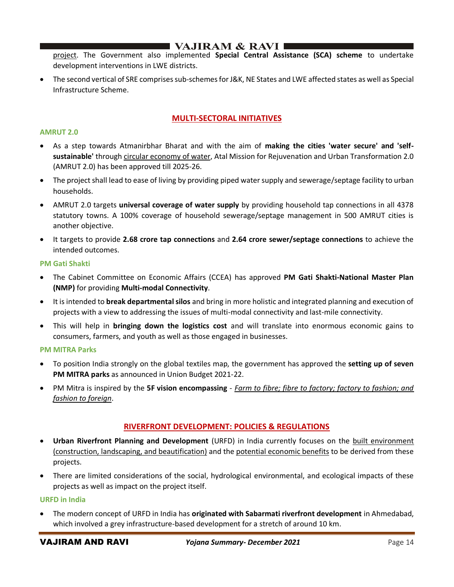# $\blacksquare$  VAJIRAM & RAVI I

project. The Government also implemented **Special Central Assistance (SCA) scheme** to undertake development interventions in LWE districts.

• The second vertical of SRE comprises sub-schemes for J&K, NE States and LWE affected states as well as Special Infrastructure Scheme.

# **MULTI-SECTORAL INITIATIVES**

#### **AMRUT 2.0**

- As a step towards Atmanirbhar Bharat and with the aim of **making the cities 'water secure' and 'selfsustainable'** through circular economy of water, Atal Mission for Rejuvenation and Urban Transformation 2.0 (AMRUT 2.0) has been approved till 2025-26.
- The project shall lead to ease of living by providing piped water supply and sewerage/septage facility to urban households.
- AMRUT 2.0 targets **universal coverage of water supply** by providing household tap connections in all 4378 statutory towns. A 100% coverage of household sewerage/septage management in 500 AMRUT cities is another objective.
- It targets to provide **2.68 crore tap connections** and **2.64 crore sewer/septage connections** to achieve the intended outcomes.

#### **PM Gati Shakti**

- The Cabinet Committee on Economic Affairs (CCEA) has approved **PM Gati Shakti-National Master Plan (NMP)** for providing **Multi-modal Connectivity**.
- It is intended to **break departmental silos** and bring in more holistic and integrated planning and execution of projects with a view to addressing the issues of multi-modal connectivity and last-mile connectivity.
- This will help in **bringing down the logistics cost** and will translate into enormous economic gains to consumers, farmers, and youth as well as those engaged in businesses.

#### **PM MITRA Parks**

- To position India strongly on the global textiles map, the government has approved the **setting up of seven PM MITRA parks** as announced in Union Budget 2021-22.
- PM Mitra is inspired by the **5F vision encompassing** *Farm to fibre; fibre to factory; factory to fashion; and fashion to foreign*.

### **RIVERFRONT DEVELOPMENT: POLICIES & REGULATIONS**

- **Urban Riverfront Planning and Development** (URFD) in India currently focuses on the built environment (construction, landscaping, and beautification) and the potential economic benefits to be derived from these projects.
- There are limited considerations of the social, hydrological environmental, and ecological impacts of these projects as well as impact on the project itself.

### **URFD in India**

• The modern concept of URFD in India has **originated with Sabarmati riverfront development** in Ahmedabad, which involved a grey infrastructure-based development for a stretch of around 10 km.